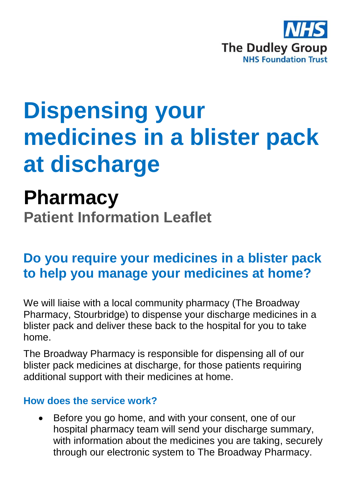

# **Dispensing your medicines in a blister pack at discharge**

## **Pharmacy**

**Patient Information Leaflet**

### **Do you require your medicines in a blister pack to help you manage your medicines at home?**

We will liaise with a local community pharmacy (The Broadway Pharmacy, Stourbridge) to dispense your discharge medicines in a blister pack and deliver these back to the hospital for you to take home.

The Broadway Pharmacy is responsible for dispensing all of our blister pack medicines at discharge, for those patients requiring additional support with their medicines at home.

#### **How does the service work?**

 Before you go home, and with your consent, one of our hospital pharmacy team will send your discharge summary, with information about the medicines you are taking, securely through our electronic system to The Broadway Pharmacy.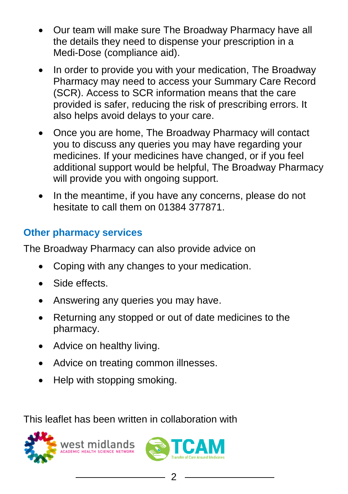- Our team will make sure The Broadway Pharmacy have all the details they need to dispense your prescription in a Medi-Dose (compliance aid).
- In order to provide you with your medication. The Broadway Pharmacy may need to access your Summary Care Record (SCR). Access to SCR information means that the care provided is safer, reducing the risk of prescribing errors. It also helps avoid delays to your care.
- Once you are home, The Broadway Pharmacy will contact you to discuss any queries you may have regarding your medicines. If your medicines have changed, or if you feel additional support would be helpful, The Broadway Pharmacy will provide you with ongoing support.
- In the meantime, if you have any concerns, please do not hesitate to call them on 01384 377871.

#### **Other pharmacy services**

The Broadway Pharmacy can also provide advice on

- Coping with any changes to your medication.
- Side effects.
- Answering any queries you may have.
- Returning any stopped or out of date medicines to the pharmacy.
- Advice on healthy living.
- Advice on treating common illnesses.
- Help with stopping smoking.

This leaflet has been written in collaboration with